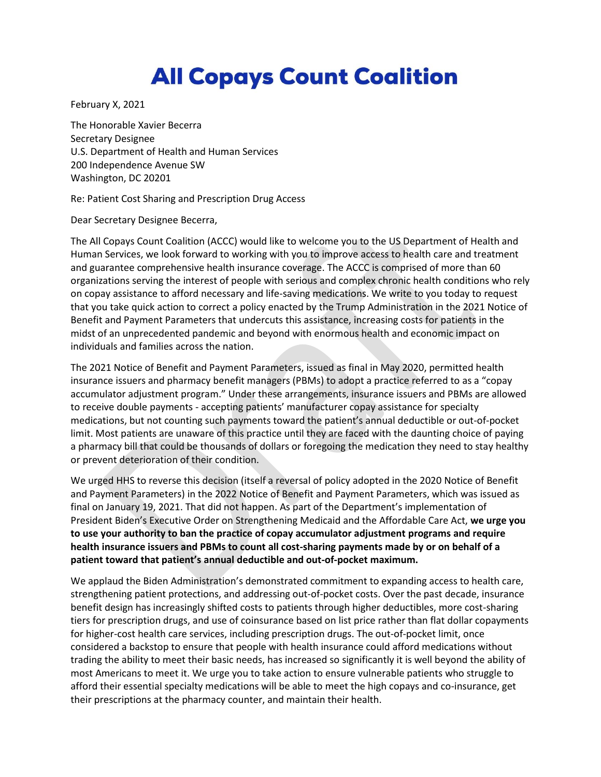## **All Copays Count Coalition**

February X, 2021

The Honorable Xavier Becerra Secretary Designee U.S. Department of Health and Human Services 200 Independence Avenue SW Washington, DC 20201

Re: Patient Cost Sharing and Prescription Drug Access

Dear Secretary Designee Becerra,

The All Copays Count Coalition (ACCC) would like to welcome you to the US Department of Health and Human Services, we look forward to working with you to improve access to health care and treatment and guarantee comprehensive health insurance coverage. The ACCC is comprised of more than 60 organizations serving the interest of people with serious and complex chronic health conditions who rely on copay assistance to afford necessary and life-saving medications. We write to you today to request that you take quick action to correct a policy enacted by the Trump Administration in the 2021 Notice of Benefit and Payment Parameters that undercuts this assistance, increasing costs for patients in the midst of an unprecedented pandemic and beyond with enormous health and economic impact on individuals and families across the nation.

The 2021 Notice of Benefit and Payment Parameters, issued as final in May 2020, permitted health insurance issuers and pharmacy benefit managers (PBMs) to adopt a practice referred to as a "copay accumulator adjustment program." Under these arrangements, insurance issuers and PBMs are allowed to receive double payments - accepting patients' manufacturer copay assistance for specialty medications, but not counting such payments toward the patient's annual deductible or out-of-pocket limit. Most patients are unaware of this practice until they are faced with the daunting choice of paying a pharmacy bill that could be thousands of dollars or foregoing the medication they need to stay healthy or prevent deterioration of their condition.

We urged HHS to reverse this decision (itself a reversal of policy adopted in the 2020 Notice of Benefit and Payment Parameters) in the 2022 Notice of Benefit and Payment Parameters, which was issued as final on January 19, 2021. That did not happen. As part of the Department's implementation of President Biden's Executive Order on Strengthening Medicaid and the Affordable Care Act, **we urge you to use your authority to ban the practice of copay accumulator adjustment programs and require health insurance issuers and PBMs to count all cost-sharing payments made by or on behalf of a patient toward that patient's annual deductible and out-of-pocket maximum.**

We applaud the Biden Administration's demonstrated commitment to expanding access to health care, strengthening patient protections, and addressing out-of-pocket costs. Over the past decade, insurance benefit design has increasingly shifted costs to patients through higher deductibles, more cost-sharing tiers for prescription drugs, and use of coinsurance based on list price rather than flat dollar copayments for higher-cost health care services, including prescription drugs. The out-of-pocket limit, once considered a backstop to ensure that people with health insurance could afford medications without trading the ability to meet their basic needs, has increased so significantly it is well beyond the ability of most Americans to meet it. We urge you to take action to ensure vulnerable patients who struggle to afford their essential specialty medications will be able to meet the high copays and co-insurance, get their prescriptions at the pharmacy counter, and maintain their health.